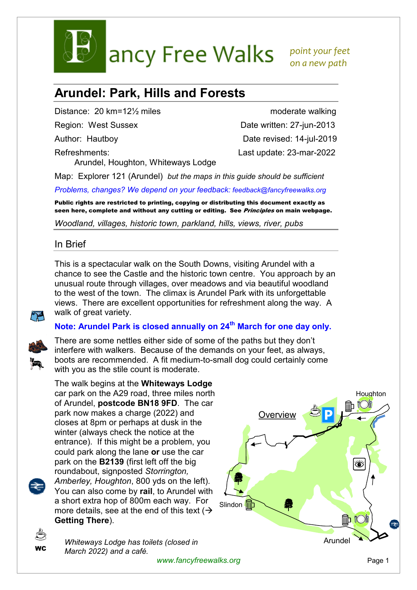

ancy Free Walks point your feet

 *on a new path* 

# **Arundel: Park, Hills and Forests**

Distance: 20 km=12<sup>1/2</sup> miles moderate walking

Refreshments: Last update: 23-mar-2022 Arundel, Houghton, Whiteways Lodge

Region: West Sussex Date written: 27-jun-2013 Author: Hautboy Date revised: 14-jul-2019

Map: Explorer 121 (Arundel) *but the maps in this guide should be sufficient*

*Problems, changes? We depend on your feedback: feedback@fancyfreewalks.org*

Public rights are restricted to printing, copying or distributing this document exactly as seen here, complete and without any cutting or editing. See Principles on main webpage.

*Woodland, villages, historic town, parkland, hills, views, river, pubs* 

# In Brief

This is a spectacular walk on the South Downs, visiting Arundel with a chance to see the Castle and the historic town centre. You approach by an unusual route through villages, over meadows and via beautiful woodland to the west of the town. The climax is Arundel Park with its unforgettable views. There are excellent opportunities for refreshment along the way. A walk of great variety.

# **Note: Arundel Park is closed annually on 24th March for one day only.**



There are some nettles either side of some of the paths but they don't interfere with walkers. Because of the demands on your feet, as always, boots are recommended. A fit medium-to-small dog could certainly come with you as the stile count is moderate.



The walk begins at the **Whiteways Lodge** car park on the A29 road, three miles north of Arundel, **postcode BN18 9FD**. The car park now makes a charge (2022) and closes at 8pm or perhaps at dusk in the winter (always check the notice at the entrance). If this might be a problem, you could park along the lane **or** use the car park on the **B2139** (first left off the big roundabout, signposted *Storrington, Amberley, Houghton*, 800 yds on the left). You can also come by **rail**, to Arundel with a short extra hop of 800m each way. For more details, see at the end of this text  $\rightarrow$ **Getting There**).





*Whiteways Lodge has toilets (closed in March 2022) and a café.* 

www.fancyfreewalks.org **Page 1**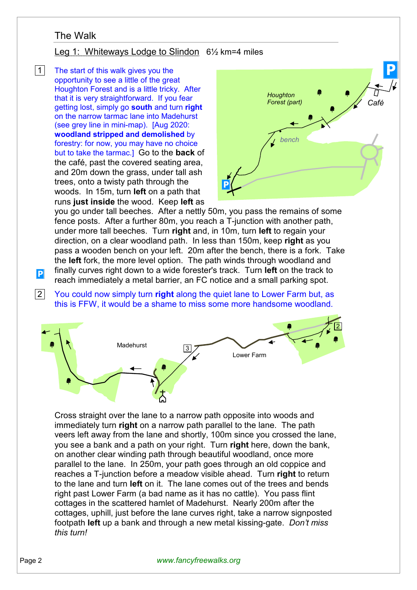# The Walk

## Leg 1: Whiteways Lodge to Slindon 6½ km=4 miles

 $|1|$  The start of this walk gives you the opportunity to see a little of the great Houghton Forest and is a little tricky. After that it is very straightforward. If you fear getting lost, simply go **south** and turn **right** on the narrow tarmac lane into Madehurst (see grey line in mini-map). [Aug 2020: **woodland stripped and demolished** by forestry: for now, you may have no choice but to take the tarmac.] Go to the **back** of the café, past the covered seating area, and 20m down the grass, under tall ash trees, onto a twisty path through the woods. In 15m, turn **left** on a path that runs **just inside** the wood. Keep **left** as



you go under tall beeches. After a nettly 50m, you pass the remains of some fence posts. After a further 80m, you reach a T-junction with another path, under more tall beeches. Turn **right** and, in 10m, turn **left** to regain your direction, on a clear woodland path. In less than 150m, keep **right** as you pass a wooden bench on your left. 20m after the bench, there is a fork. Take the **left** fork, the more level option. The path winds through woodland and finally curves right down to a wide forester's track. Turn **left** on the track to reach immediately a metal barrier, an FC notice and a small parking spot.

 2 You could now simply turn **right** along the quiet lane to Lower Farm but, as this is FFW, it would be a shame to miss some more handsome woodland.



Cross straight over the lane to a narrow path opposite into woods and immediately turn **right** on a narrow path parallel to the lane. The path veers left away from the lane and shortly, 100m since you crossed the lane, you see a bank and a path on your right. Turn **right** here, down the bank, on another clear winding path through beautiful woodland, once more parallel to the lane. In 250m, your path goes through an old coppice and reaches a T-junction before a meadow visible ahead. Turn **right** to return to the lane and turn **left** on it. The lane comes out of the trees and bends right past Lower Farm (a bad name as it has no cattle). You pass flint cottages in the scattered hamlet of Madehurst. Nearly 200m after the cottages, uphill, just before the lane curves right, take a narrow signposted footpath **left** up a bank and through a new metal kissing-gate. *Don't miss this turn!* 

 $|{\bf p}|$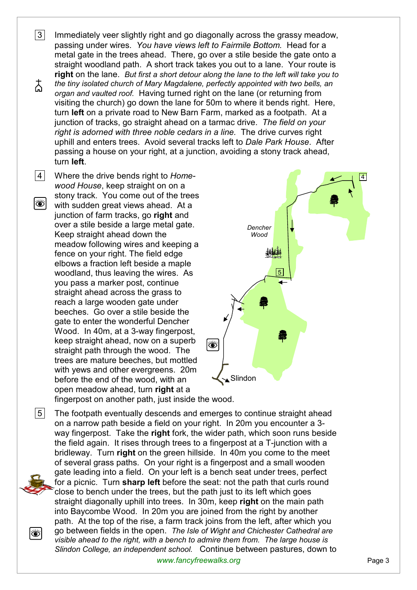$3<sup>1</sup>$  Immediately veer slightly right and go diagonally across the grassy meadow. passing under wires. *You have views left to Fairmile Bottom.* Head for a metal gate in the trees ahead. There, go over a stile beside the gate onto a straight woodland path. A short track takes you out to a lane. Your route is **right** on the lane. *But first a short detour along the lane to the left will take you to*  太 *the tiny isolated church of Mary Magdalene, perfectly appointed with two bells, an organ and vaulted roof.* Having turned right on the lane (or returning from visiting the church) go down the lane for 50m to where it bends right. Here, turn **left** on a private road to New Barn Farm, marked as a footpath. At a junction of tracks, go straight ahead on a tarmac drive. *The field on your right is adorned with three noble cedars in a line.* The drive curves right uphill and enters trees. Avoid several tracks left to *Dale Park House*. After passing a house on your right, at a junction, avoiding a stony track ahead, turn **left**.

 4 Where the drive bends right to *Homewood House*, keep straight on on a stony track. You come out of the trees I ( with sudden great views ahead. At a junction of farm tracks, go **right** and over a stile beside a large metal gate. Keep straight ahead down the meadow following wires and keeping a fence on your right. The field edge elbows a fraction left beside a maple woodland, thus leaving the wires. As you pass a marker post, continue straight ahead across the grass to reach a large wooden gate under beeches. Go over a stile beside the gate to enter the wonderful Dencher Wood. In 40m, at a 3-way fingerpost, keep straight ahead, now on a superb straight path through the wood. The trees are mature beeches, but mottled with yews and other evergreens. 20m before the end of the wood, with an open meadow ahead, turn **right** at a

۱۶



fingerpost on another path, just inside the wood.

 $|5|$  The footpath eventually descends and emerges to continue straight ahead on a narrow path beside a field on your right. In 20m you encounter a 3 way fingerpost. Take the **right** fork, the wider path, which soon runs beside the field again. It rises through trees to a fingerpost at a T-junction with a bridleway. Turn **right** on the green hillside. In 40m you come to the meet of several grass paths. On your right is a fingerpost and a small wooden gate leading into a field. On your left is a bench seat under trees, perfect for a picnic. Turn **sharp left** before the seat: not the path that curls round close to bench under the trees, but the path just to its left which goes straight diagonally uphill into trees. In 30m, keep **right** on the main path into Baycombe Wood. In 20m you are joined from the right by another path. At the top of the rise, a farm track joins from the left, after which you go between fields in the open. *The Isle of Wight and Chichester Cathedral are visible ahead to the right, with a bench to admire them from. The large house is Slindon College, an independent school.* Continue between pastures, down to

www.fancyfreewalks.org **Page 3**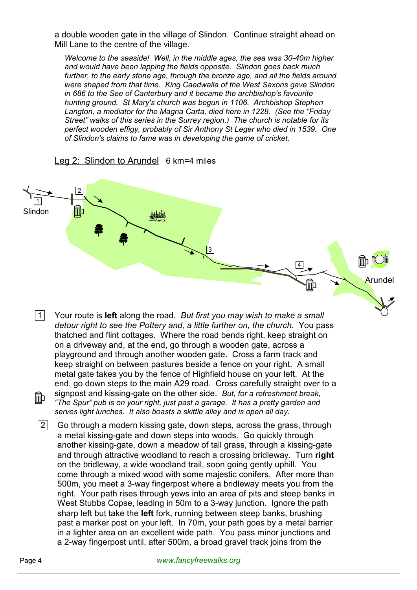a double wooden gate in the village of Slindon. Continue straight ahead on Mill Lane to the centre of the village.

*Welcome to the seaside! Well, in the middle ages, the sea was 30-40m higher and would have been lapping the fields opposite. Slindon goes back much further, to the early stone age, through the bronze age, and all the fields around were shaped from that time. King Caedwalla of the West Saxons gave Slindon in 686 to the See of Canterbury and it became the archbishop's favourite hunting ground. St Mary's church was begun in 1106. Archbishop Stephen Langton, a mediator for the Magna Carta, died here in 1228. (See the "Friday Street" walks of this series in the Surrey region.) The church is notable for its perfect wooden effigy, probably of Sir Anthony St Leger who died in 1539. One of Slindon's claims to fame was in developing the game of cricket.* 



## Leg 2: Slindon to Arundel 6 km=4 miles

 1 Your route is **left** along the road. *But first you may wish to make a small detour right to see the Pottery and, a little further on, the church.* You pass thatched and flint cottages. Where the road bends right, keep straight on on a driveway and, at the end, go through a wooden gate, across a playground and through another wooden gate. Cross a farm track and keep straight on between pastures beside a fence on your right. A small metal gate takes you by the fence of Highfield house on your left. At the end, go down steps to the main A29 road. Cross carefully straight over to a signpost and kissing-gate on the other side. *But, for a refreshment break,*  ΠĪΦ *"The Spur" pub is on your right, just past a garage. It has a pretty garden and serves light lunches. It also boasts a skittle alley and is open all day.*

 $|2|$  Go through a modern kissing gate, down steps, across the grass, through a metal kissing-gate and down steps into woods. Go quickly through another kissing-gate, down a meadow of tall grass, through a kissing-gate and through attractive woodland to reach a crossing bridleway. Turn **right** on the bridleway, a wide woodland trail, soon going gently uphill. You come through a mixed wood with some majestic conifers. After more than 500m, you meet a 3-way fingerpost where a bridleway meets you from the right. Your path rises through yews into an area of pits and steep banks in West Stubbs Copse, leading in 50m to a 3-way junction. Ignore the path sharp left but take the **left** fork, running between steep banks, brushing past a marker post on your left. In 70m, your path goes by a metal barrier in a lighter area on an excellent wide path. You pass minor junctions and a 2-way fingerpost until, after 500m, a broad gravel track joins from the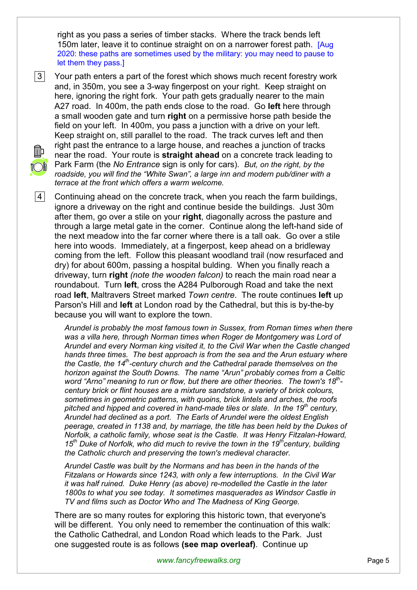right as you pass a series of timber stacks. Where the track bends left 150m later, leave it to continue straight on on a narrower forest path. [Aug 2020: these paths are sometimes used by the military: you may need to pause to let them they pass.]

 3 Your path enters a part of the forest which shows much recent forestry work and, in 350m, you see a 3-way fingerpost on your right. Keep straight on here, ignoring the right fork. Your path gets gradually nearer to the main A27 road. In 400m, the path ends close to the road. Go **left** here through a small wooden gate and turn **right** on a permissive horse path beside the field on your left. In 400m, you pass a junction with a drive on your left. Keep straight on, still parallel to the road. The track curves left and then right past the entrance to a large house, and reaches a junction of tracks near the road. Your route is **straight ahead** on a concrete track leading to Park Farm (the *No Entrance* sign is only for cars). *But, on the right, by the roadside, you will find the "White Swan", a large inn and modern pub/diner with a terrace at the front which offers a warm welcome.*

4 Continuing ahead on the concrete track, when you reach the farm buildings, ignore a driveway on the right and continue beside the buildings. Just 30m after them, go over a stile on your **right**, diagonally across the pasture and through a large metal gate in the corner. Continue along the left-hand side of the next meadow into the far corner where there is a tall oak. Go over a stile here into woods. Immediately, at a fingerpost, keep ahead on a bridleway coming from the left. Follow this pleasant woodland trail (now resurfaced and dry) for about 600m, passing a hospital bulding. When you finally reach a driveway, turn **right** *(note the wooden falcon)* to reach the main road near a roundabout. Turn **left**, cross the A284 Pulborough Road and take the next road **left**, Maltravers Street marked *Town centre*. The route continues **left** up Parson's Hill and **left** at London road by the Cathedral, but this is by-the-by because you will want to explore the town.

*Arundel is probably the most famous town in Sussex, from Roman times when there was a villa here, through Norman times when Roger de Montgomery was Lord of Arundel and every Norman king visited it, to the Civil War when the Castle changed hands three times. The best approach is from the sea and the Arun estuary where the Castle, the 14th-century church and the Cathedral parade themselves on the horizon against the South Downs. The name "Arun" probably comes from a Celtic word "Arno" meaning to run or flow, but there are other theories. The town's 18th century brick or flint houses are a mixture sandstone, a variety of brick colours, sometimes in geometric patterns, with quoins, brick lintels and arches, the roofs pitched and hipped and covered in hand-made tiles or slate. In the 19th century, Arundel had declined as a port. The Earls of Arundel were the oldest English peerage, created in 1138 and, by marriage, the title has been held by the Dukes of Norfolk, a catholic family, whose seat is the Castle. It was Henry Fitzalan-Howard, 15th Duke of Norfolk, who did much to revive the town in the 19thcentury, building the Catholic church and preserving the town's medieval character.* 

*Arundel Castle was built by the Normans and has been in the hands of the Fitzalans or Howards since 1243, with only a few interruptions. In the Civil War it was half ruined. Duke Henry (as above) re-modelled the Castle in the later 1800s to what you see today. It sometimes masquerades as Windsor Castle in TV and films such as Doctor Who and The Madness of King George.* 

There are so many routes for exploring this historic town, that everyone's will be different. You only need to remember the continuation of this walk: the Catholic Cathedral, and London Road which leads to the Park. Just one suggested route is as follows **(see map overleaf)**. Continue up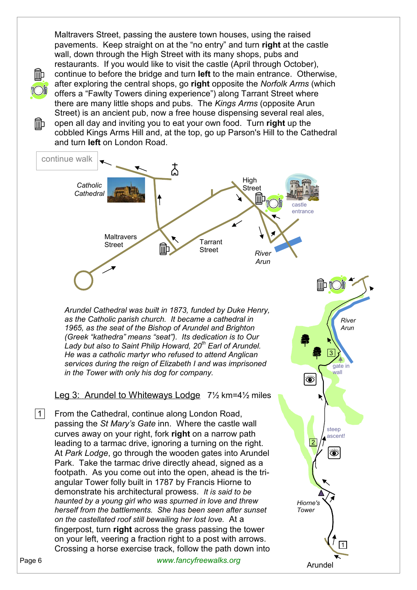Maltravers Street, passing the austere town houses, using the raised pavements. Keep straight on at the "no entry" and turn **right** at the castle wall, down through the High Street with its many shops, pubs and restaurants. If you would like to visit the castle (April through October), continue to before the bridge and turn **left** to the main entrance. Otherwise, after exploring the central shops, go **right** opposite the *Norfolk Arms* (which offers a "Fawlty Towers dining experience") along Tarrant Street where there are many little shops and pubs. The *Kings Arms* (opposite Arun Street) is an ancient pub, now a free house dispensing several real ales, open all day and inviting you to eat your own food. Turn **right** up the

Πīb

cobbled Kings Arms Hill and, at the top, go up Parson's Hill to the Cathedral and turn **left** on London Road.



*Arundel Cathedral was built in 1873, funded by Duke Henry, as the Catholic parish church. It became a cathedral in 1965, as the seat of the Bishop of Arundel and Brighton (Greek "kathedra" means "seat"). Its dedication is to Our Lady but also to Saint Philip Howard, 20th Earl of Arundel. He was a catholic martyr who refused to attend Anglican services during the reign of Elizabeth I and was imprisoned in the Tower with only his dog for company.* 

#### Leg 3: Arundel to Whiteways Lodge 7<sup>1</sup>/<sub>2</sub> km=4<sup>1</sup>/<sub>2</sub> miles

|1| From the Cathedral, continue along London Road, passing the *St Mary's Gate* inn. Where the castle wall curves away on your right, fork **right** on a narrow path leading to a tarmac drive, ignoring a turning on the right. At *Park Lodge*, go through the wooden gates into Arundel Park. Take the tarmac drive directly ahead, signed as a footpath. As you come out into the open, ahead is the triangular Tower folly built in 1787 by Francis Hiorne to demonstrate his architectural prowess. *It is said to be haunted by a young girl who was spurned in love and threw herself from the battlements. She has been seen after sunset on the castellated roof still bewailing her lost love.* At a fingerpost, turn **right** across the grass passing the tower on your left, veering a fraction right to a post with arrows. Crossing a horse exercise track, follow the path down into

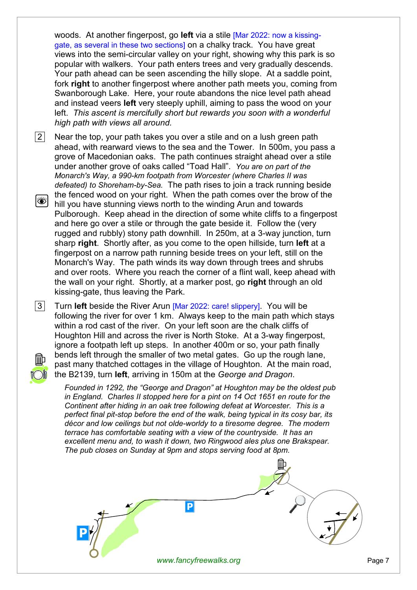woods. At another fingerpost, go **left** via a stile [Mar 2022: now a kissinggate, as several in these two sections] on a chalky track. You have great views into the semi-circular valley on your right, showing why this park is so popular with walkers. Your path enters trees and very gradually descends. Your path ahead can be seen ascending the hilly slope. At a saddle point, fork **right** to another fingerpost where another path meets you, coming from Swanborough Lake. Here, your route abandons the nice level path ahead and instead veers **left** very steeply uphill, aiming to pass the wood on your left. *This ascent is mercifully short but rewards you soon with a wonderful high path with views all around.*

 $|2|$  Near the top, your path takes you over a stile and on a lush green path ahead, with rearward views to the sea and the Tower. In 500m, you pass a grove of Macedonian oaks. The path continues straight ahead over a stile under another grove of oaks called "Toad Hall". *You are on part of the Monarch's Way, a 990-km footpath from Worcester (where Charles II was defeated) to Shoreham-by-Sea.* The path rises to join a track running beside the fenced wood on your right. When the path comes over the brow of the 8 hill you have stunning views north to the winding Arun and towards Pulborough. Keep ahead in the direction of some white cliffs to a fingerpost and here go over a stile or through the gate beside it. Follow the (very rugged and rubbly) stony path downhill. In 250m, at a 3-way junction, turn sharp **right**. Shortly after, as you come to the open hillside, turn **left** at a fingerpost on a narrow path running beside trees on your left, still on the Monarch's Way. The path winds its way down through trees and shrubs and over roots. Where you reach the corner of a flint wall, keep ahead with the wall on your right. Shortly, at a marker post, go **right** through an old kissing-gate, thus leaving the Park.

 3 Turn **left** beside the River Arun [Mar 2022: care! slippery]. You will be following the river for over 1 km. Always keep to the main path which stays within a rod cast of the river. On your left soon are the chalk cliffs of Houghton Hill and across the river is North Stoke. At a 3-way fingerpost, ignore a footpath left up steps. In another 400m or so, your path finally bends left through the smaller of two metal gates. Go up the rough lane, past many thatched cottages in the village of Houghton. At the main road, the B2139, turn **left**, arriving in 150m at the *George and Dragon*.

*Founded in 1292, the "George and Dragon" at Houghton may be the oldest pub in England. Charles II stopped here for a pint on 14 Oct 1651 en route for the Continent after hiding in an oak tree following defeat at Worcester. This is a perfect final pit-stop before the end of the walk, being typical in its cosy bar, its décor and low ceilings but not olde-worldy to a tiresome degree. The modern terrace has comfortable seating with a view of the countryside. It has an excellent menu and, to wash it down, two Ringwood ales plus one Brakspear. The pub closes on Sunday at 9pm and stops serving food at 8pm.*